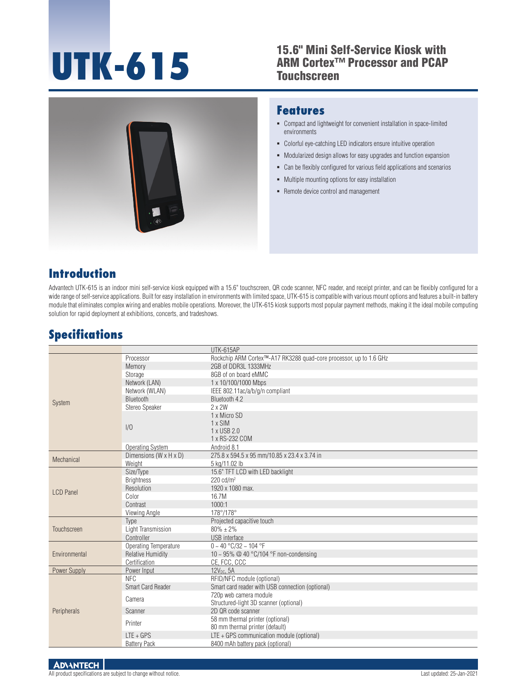# **UTK-615**

#### 15.6" Mini Self-Service Kiosk with ARM Cortex™ Processor and PCAP **Touchscreen**



#### **Features**

- Compact and lightweight for convenient installation in space-limited environments
- Colorful eye-catching LED indicators ensure intuitive operation
- $\blacksquare$  Modularized design allows for easy upgrades and function expansion
- Can be flexibly configured for various field applications and scenarios
- Multiple mounting options for easy installation
- Remote device control and management

#### **Introduction**

Advantech UTK-615 is an indoor mini self-service kiosk equipped with a 15.6" touchscreen, QR code scanner, NFC reader, and receipt printer, and can be flexibly configured for a wide range of self-service applications. Built for easy installation in environments with limited space, UTK-615 is compatible with various mount options and features a built-in battery module that eliminates complex wiring and enables mobile operations. Moreover, the UTK-615 kiosk supports most popular payment methods, making it the ideal mobile computing solution for rapid deployment at exhibitions, concerts, and tradeshows.

## **Specifications**

|                  |                                      | UTK-615AP                                                                       |
|------------------|--------------------------------------|---------------------------------------------------------------------------------|
| System           | Processor                            | Rockchip ARM Cortex <sup>™-</sup> A17 RK3288 quad-core processor, up to 1.6 GHz |
|                  | Memory                               | 2GB of DDR3L 1333MHz                                                            |
|                  | Storage                              | 8GB of on board eMMC                                                            |
|                  | Network (LAN)                        | 1 x 10/100/1000 Mbps                                                            |
|                  | Network (WLAN)                       | IEEE 802.11ac/a/b/g/n compliant                                                 |
|                  | Bluetooth                            | Bluetooth 4.2                                                                   |
|                  | Stereo Speaker                       | $2 \times 2W$                                                                   |
|                  |                                      | 1 x Micro SD                                                                    |
|                  | 1/0                                  | 1 x SIM                                                                         |
|                  |                                      | 1 x USB 2.0                                                                     |
|                  |                                      | 1 x RS-232 COM                                                                  |
|                  | Operating System                     | Android 8.1                                                                     |
| Mechanical       | Dimensions (W $\times$ H $\times$ D) | 275.8 x 594.5 x 95 mm/10.85 x 23.4 x 3.74 in                                    |
|                  | Weight                               | 5 kg/11.02 lb                                                                   |
| <b>LCD Panel</b> | Size/Type                            | 15.6" TFT LCD with LED backlight                                                |
|                  | <b>Brightness</b>                    | $220 \text{ cd/m}^2$                                                            |
|                  | Resolution                           | 1920 x 1080 max.                                                                |
|                  | Color                                | 16.7M                                                                           |
|                  | Contrast                             | 1000:1                                                                          |
|                  | Viewing Angle                        | 178°/178°                                                                       |
| Touchscreen      | Type                                 | Projected capacitive touch                                                      |
|                  | Light Transmission                   | $80\% + 2\%$                                                                    |
|                  | Controller                           | <b>USB</b> interface                                                            |
| Environmental    | Operating Temperature                | $0 - 40$ °C/32 ~ 104 °F                                                         |
|                  | <b>Relative Humidity</b>             | 10 ~ 95% @ 40 °C/104 °F non-condensing                                          |
|                  | Certification                        | CE, FCC, CCC                                                                    |
| Power Supply     | Power Input                          | 12V <sub>DC</sub> , 5A                                                          |
| Peripherals      | <b>NFC</b>                           | RFID/NFC module (optional)                                                      |
|                  | Smart Card Reader                    | Smart card reader with USB connection (optional)                                |
|                  | Camera                               | 720p web camera module                                                          |
|                  |                                      | Structured-light 3D scanner (optional)                                          |
|                  | Scanner                              | 2D OR code scanner                                                              |
|                  | Printer                              | 58 mm thermal printer (optional)                                                |
|                  |                                      | 80 mm thermal printer (default)                                                 |
|                  | $LTE + GPS$                          | LTE + GPS communication module (optional)                                       |
|                  | <b>Battery Pack</b>                  | 8400 mAh battery pack (optional)                                                |

**ADVANTECH**